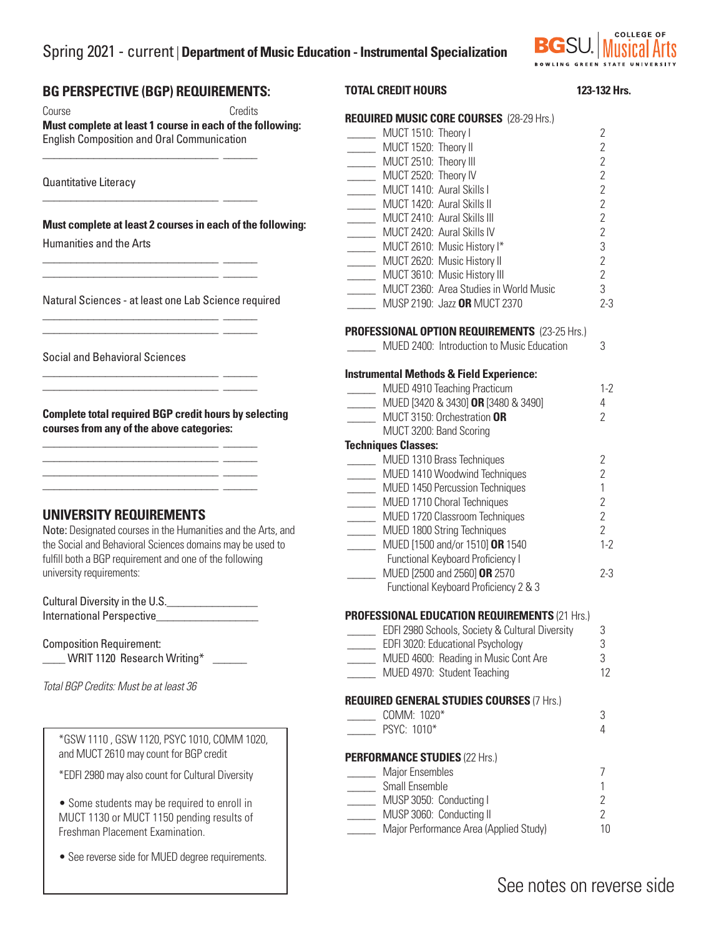# Spring 2021 - current | **Department of Music Education - Instrumental Specialization**



#### **BG PERSPECTIVE (BGP) REQUIREMENTS:**  Course Credits **Must complete at least 1 course in each of the following:**  English Composition and Oral Communication \_\_\_\_\_\_\_\_\_\_\_\_\_\_\_\_\_\_\_\_\_\_\_\_\_\_\_\_\_\_\_ \_\_\_\_\_\_ Quantitative Literacy \_\_\_\_\_\_\_\_\_\_\_\_\_\_\_\_\_\_\_\_\_\_\_\_\_\_\_\_\_\_\_ \_\_\_\_\_\_ **Must complete at least 2 courses in each of the following:** Humanities and the Arts \_\_\_\_\_\_\_\_\_\_\_\_\_\_\_\_\_\_\_\_\_\_\_\_\_\_\_\_\_\_\_ \_\_\_\_\_\_ \_\_\_\_\_\_\_\_\_\_\_\_\_\_\_\_\_\_\_\_\_\_\_\_\_\_\_\_\_\_\_ \_\_\_\_\_\_ Natural Sciences - at least one Lab Science required \_\_\_\_\_\_\_\_\_\_\_\_\_\_\_\_\_\_\_\_\_\_\_\_\_\_\_\_\_\_\_ \_\_\_\_\_\_ \_\_\_\_\_\_\_\_\_\_\_\_\_\_\_\_\_\_\_\_\_\_\_\_\_\_\_\_\_\_\_ \_\_\_\_\_\_ Social and Behavioral Sciences \_\_\_\_\_\_\_\_\_\_\_\_\_\_\_\_\_\_\_\_\_\_\_\_\_\_\_\_\_\_\_ \_\_\_\_\_\_ \_\_\_\_\_\_\_\_\_\_\_\_\_\_\_\_\_\_\_\_\_\_\_\_\_\_\_\_\_\_\_ \_\_\_\_\_\_ **Complete total required BGP credit hours by selecting courses from any of the above categories:** \_\_\_\_\_\_\_\_\_\_\_\_\_\_\_\_\_\_\_\_\_\_\_\_\_\_\_\_\_\_\_ \_\_\_\_\_\_ \_\_\_\_\_\_\_\_\_\_\_\_\_\_\_\_\_\_\_\_\_\_\_\_\_\_\_\_\_\_\_ \_\_\_\_\_\_ \_\_\_\_\_\_\_\_\_\_\_\_\_\_\_\_\_\_\_\_\_\_\_\_\_\_\_\_\_\_\_ \_\_\_\_\_\_ \_\_\_\_\_\_\_\_\_\_\_\_\_\_\_\_\_\_\_\_\_\_\_\_\_\_\_\_\_\_\_ \_\_\_\_\_\_ **UNIVERSITY REQUIREMENTS**  Note: Designated courses in the Humanities and the Arts, and the Social and Behavioral Sciences domains may be used to fulfill both a BGP requirement and one of the following university requirements: Cultural Diversity in the U.S. International Perspective Composition Requirement: WRIT 1120 Research Writing\* *Total BGP Credits: Must be at least 36* **TOTAL CREDIT HOURS** 123-132 Hrs. **REQUIRED MUSIC CORE COURSES** (28-29 Hrs.) \_\_\_\_\_ MUCT 1510: Theory I 2 \_\_\_\_\_ MUCT 1520: Theory II 2 \_\_\_\_\_ MUCT 2510: Theory III 2 \_\_\_\_\_ MUCT 2520: Theory IV 2 \_\_\_\_\_ MUCT 1410: Aural Skills I 2 \_\_\_\_\_ MUCT 1420: Aural Skills II 2 \_\_\_\_\_ MUCT 2410: Aural Skills III 2 \_\_\_\_\_ MUCT 2420: Aural Skills IV 2 \_\_\_\_\_ MUCT 2610: Music History I\* 3 \_\_\_\_\_ MUCT 2620: Music History II 2 \_\_\_\_\_ MUCT 3610: Music History III 2 \_\_\_\_\_ MUCT 2360: Area Studies in World Music 3 \_\_\_\_\_ MUSP 2190: Jazz **OR** MUCT 2370 2-3 **PROFESSIONAL OPTION REQUIREMENTS** (23-25 Hrs.) \_\_\_\_\_ MUED 2400: Introduction to Music Education 3 **Instrumental Methods & Field Experience:** \_\_\_\_\_ MUED 4910 Teaching Practicum 1-2 \_\_\_\_\_ MUED [3420 & 3430] **OR** [3480 & 3490] 4 \_\_\_\_\_ MUCT 3150: Orchestration **OR** 2 MUCT 3200: Band Scoring **Techniques Classes:** \_\_\_\_\_ MUED 1310 Brass Techniques 2 \_\_\_\_\_ MUED 1410 Woodwind Techniques 2 \_\_\_\_\_ MUED 1450 Percussion Techniques 1 \_\_\_\_\_ MUED 1710 Choral Techniques 2 \_\_\_\_\_ MUED 1720 Classroom Techniques 2 \_\_\_\_\_ MUED 1800 String Techniques 2 \_\_\_\_\_ MUED [1500 and/or 1510] **OR** 1540 1-2 Functional Keyboard Proficiency I \_\_\_\_\_ MUED [2500 and 2560] **OR** 2570 2-3 Functional Keyboard Proficiency 2 & 3 **PROFESSIONAL EDUCATION REQUIREMENTS** (21 Hrs.) **EDFI 2980 Schools, Society & Cultural Diversity** 3 \_\_\_\_\_ EDFI 3020: Educational Psychology 3 \_\_\_\_\_ MUED 4600: Reading in Music Cont Are 3 \_\_\_\_\_ MUED 4970: Student Teaching 12 **REQUIRED GENERAL STUDIES COURSES** (7 Hrs.) \_\_\_\_\_ COMM: 1020\* 3 \_\_\_\_\_ PSYC: 1010\* 4 **PERFORMANCE STUDIES** (22 Hrs.) \_\_\_\_\_ Major Ensembles 7 \_\_\_\_\_ Small Ensemble 1 \_\_\_\_\_ MUSP 3050: Conducting I 2 \_\_\_\_\_ MUSP 3060: Conducting II 2 **Major Performance Area (Applied Study)** 10 \*GSW 1110 , GSW 1120, PSYC 1010, COMM 1020, and MUCT 2610 may count for BGP credit \*EDFI 2980 may also count for Cultural Diversity • Some students may be required to enroll in MUCT 1130 or MUCT 1150 pending results of Freshman Placement Examination.

• See reverse side for MUED degree requirements.